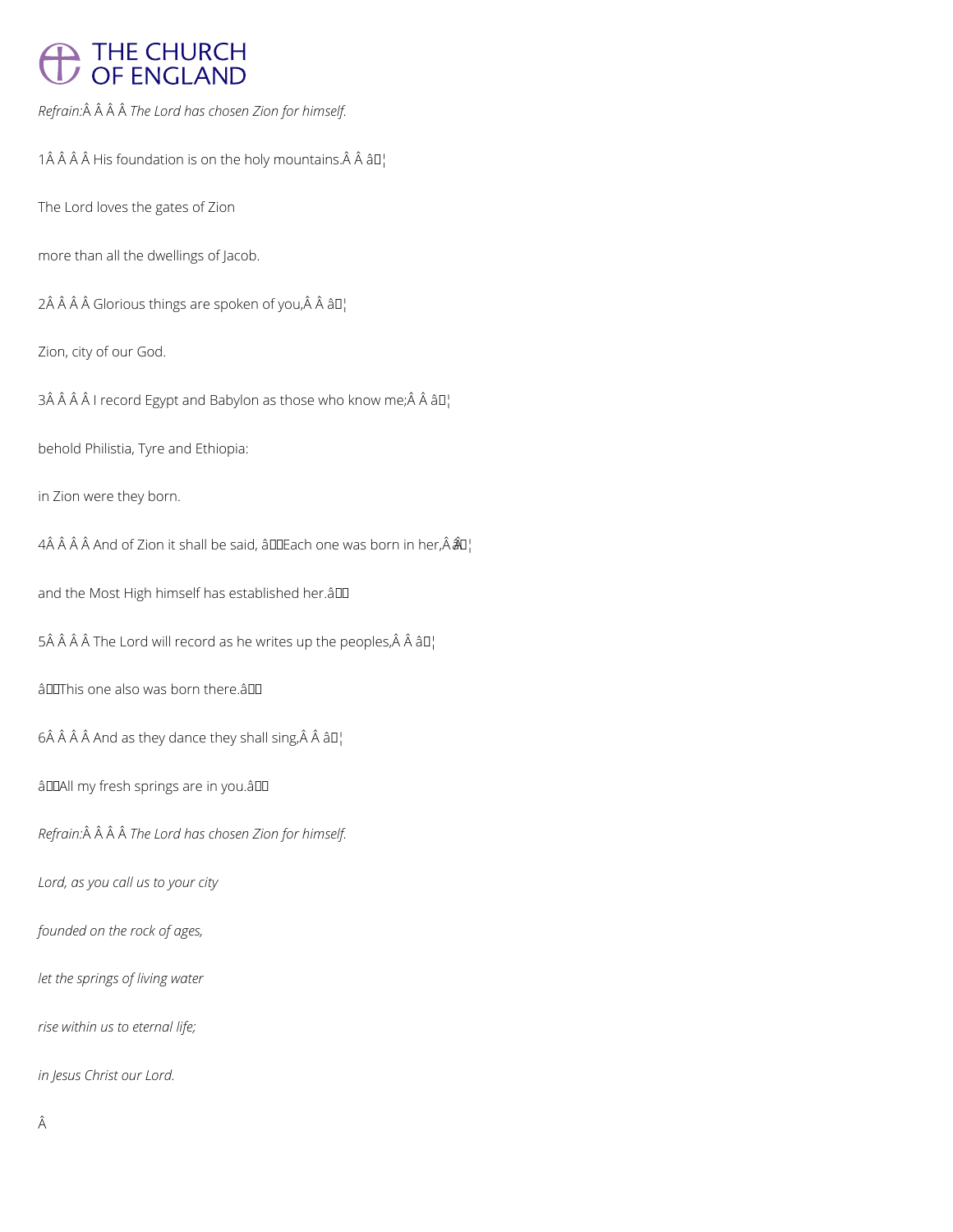## THE CHURCH<br>OF ENGLAND

*Refrain: The Lord has chosen Zion for himself.*

1 $\hat{A}$   $\hat{A}$   $\hat{A}$   $\hat{A}$  His foundation is on the holy mountains. $\hat{A}$   $\hat{A}$   $\hat{a}$   $\hat{a}$   $\hat{b}$ 

The Lord loves the gates of Zion

more than all the dwellings of Jacob.

 $2\hat{A}$   $\hat{A}$   $\hat{A}$   $\hat{B}$  Glorious things are spoken of you, $\hat{A}$   $\hat{A}$   $\hat{B}$  $I$ <sub>1</sub>

Zion, city of our God.

3Â Â Â Â I record Egypt and Babylon as those who know me; $\hat{A}$  Â â $\Pi$ <sup>1</sup>

behold Philistia, Tyre and Ethiopia:

in Zion were they born.

4Â Â Â Â And of Zion it shall be said, âDDEach one was born in her,  $\hat{A}$   $\hat{A}$ 

and the Most High himself has established her.â

 $5\hat{A}$   $\hat{A}$   $\hat{A}$   $\hat{A}$  The Lord will record as he writes up the peoples, $\hat{A}$   $\hat{A}$   $\hat{a}$   $\Box$ 

âDOThis one also was born there.âDD

 $6$  Â Â Â And as they dance they shall sing, Â Â â $\square$ 

âDDAII my fresh springs are in you.âDD

*Refrain: The Lord has chosen Zion for himself.*

*Lord, as you call us to your city*

*founded on the rock of ages,*

*let the springs of living water*

*rise within us to eternal life;*

*in Jesus Christ our Lord.*

Â